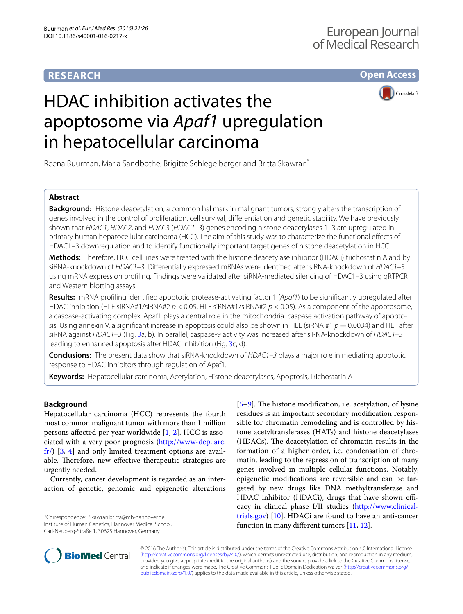# **RESEARCH**

**Open Access**



# HDAC inhibition activates the apoptosome via *Apaf1* upregulation in hepatocellular carcinoma

Reena Buurman, Maria Sandbothe, Brigitte Schlegelberger and Britta Skawran<sup>\*</sup>

## **Abstract**

**Background:** Histone deacetylation, a common hallmark in malignant tumors, strongly alters the transcription of genes involved in the control of proliferation, cell survival, differentiation and genetic stability. We have previously shown that *HDAC1*, *HDAC2*, and *HDAC3* (*HDAC1*–*3*) genes encoding histone deacetylases 1–3 are upregulated in primary human hepatocellular carcinoma (HCC). The aim of this study was to characterize the functional effects of HDAC1–3 downregulation and to identify functionally important target genes of histone deacetylation in HCC.

**Methods:** Therefore, HCC cell lines were treated with the histone deacetylase inhibitor (HDACi) trichostatin A and by siRNA-knockdown of *HDAC1*–*3*. Differentially expressed mRNAs were identified after siRNA-knockdown of *HDAC1*–*3* using mRNA expression profiling. Findings were validated after siRNA-mediated silencing of HDAC1–3 using qRTPCR and Western blotting assays.

**Results:** mRNA profiling identified apoptotic protease-activating factor 1 (*Apaf1*) to be significantly upregulated after HDAC inhibition (HLE siRNA#1/siRNA#2 *p* < 0.05, HLF siRNA#1/siRNA#2 *p* < 0.05). As a component of the apoptosome, a caspase-activating complex, Apaf1 plays a central role in the mitochondrial caspase activation pathway of apoptosis. Using annexin V, a significant increase in apoptosis could also be shown in HLE (siRNA #1  $p = 0.0034$ ) and HLF after siRNA against *HDAC1*–*3* (Fig. [3a](#page-3-0), b). In parallel, caspase-9 activity was increased after siRNA-knockdown of *HDAC1*–*3* leading to enhanced apoptosis after HDAC inhibition (Fig. [3](#page-3-0)c, d).

**Conclusions:** The present data show that siRNA-knockdown of *HDAC1*–*3* plays a major role in mediating apoptotic response to HDAC inhibitors through regulation of Apaf1.

**Keywords:** Hepatocellular carcinoma, Acetylation, Histone deacetylases, Apoptosis, Trichostatin A

## **Background**

Hepatocellular carcinoma (HCC) represents the fourth most common malignant tumor with more than 1 million persons affected per year worldwide [[1,](#page-4-0) [2\]](#page-4-1). HCC is associated with a very poor prognosis [\(http://www-dep.iarc.](http://www-dep.iarc.fr/) [fr/\)](http://www-dep.iarc.fr/) [\[3](#page-4-2), [4\]](#page-4-3) and only limited treatment options are available. Therefore, new effective therapeutic strategies are urgently needed.

Currently, cancer development is regarded as an interaction of genetic, genomic and epigenetic alterations

\*Correspondence: Skawran.britta@mh-hannover.de Institute of Human Genetics, Hannover Medical School, Carl-Neuberg-Straße 1, 30625 Hannover, Germany

[[5–](#page-4-4)[9\]](#page-4-5). The histone modification, i.e. acetylation, of lysine residues is an important secondary modification responsible for chromatin remodeling and is controlled by histone acetyltransferases (HATs) and histone deacetylases (HDACs). The deacetylation of chromatin results in the formation of a higher order, i.e. condensation of chromatin, leading to the repression of transcription of many genes involved in multiple cellular functions. Notably, epigenetic modifications are reversible and can be targeted by new drugs like DNA methyltransferase and HDAC inhibitor (HDACi), drugs that have shown efficacy in clinical phase I/II studies [\(http://www.clinical](http://www.clinicaltrials.gov)[trials.gov](http://www.clinicaltrials.gov)) [[10](#page-4-6)]. HDACi are found to have an anti-cancer function in many different tumors [\[11,](#page-4-7) [12](#page-4-8)].



© 2016 The Author(s). This article is distributed under the terms of the Creative Commons Attribution 4.0 International License [\(http://creativecommons.org/licenses/by/4.0/\)](http://creativecommons.org/licenses/by/4.0/), which permits unrestricted use, distribution, and reproduction in any medium, provided you give appropriate credit to the original author(s) and the source, provide a link to the Creative Commons license, and indicate if changes were made. The Creative Commons Public Domain Dedication waiver ([http://creativecommons.org/](http://creativecommons.org/publicdomain/zero/1.0/) [publicdomain/zero/1.0/](http://creativecommons.org/publicdomain/zero/1.0/)) applies to the data made available in this article, unless otherwise stated.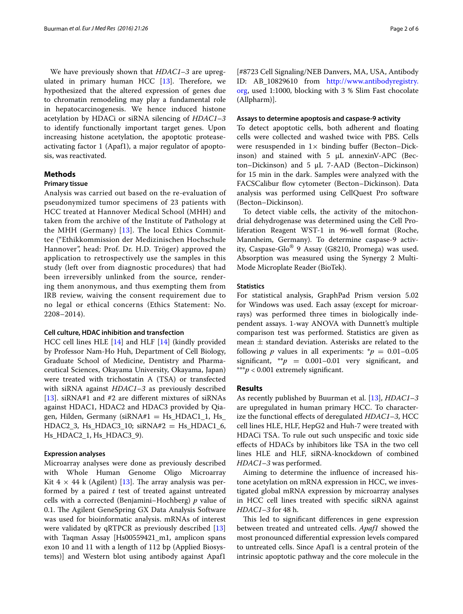We have previously shown that *HDAC1*–*3* are upregulated in primary human HCC [[13\]](#page-4-9). Therefore, we hypothesized that the altered expression of genes due to chromatin remodeling may play a fundamental role in hepatocarcinogenesis. We hence induced histone acetylation by HDACi or siRNA silencing of *HDAC1*–*3* to identify functionally important target genes. Upon increasing histone acetylation, the apoptotic proteaseactivating factor 1 (Apaf1), a major regulator of apoptosis, was reactivated.

## **Methods**

#### **Primary tissue**

Analysis was carried out based on the re-evaluation of pseudonymized tumor specimens of 23 patients with HCC treated at Hannover Medical School (MHH) and taken from the archive of the Institute of Pathology at the MHH (Germany) [[13](#page-4-9)]. The local Ethics Committee ("Ethikkommission der Medizinischen Hochschule Hannover", head: Prof. Dr. H.D. Tröger) approved the application to retrospectively use the samples in this study (left over from diagnostic procedures) that had been irreversibly unlinked from the source, rendering them anonymous, and thus exempting them from IRB review, waiving the consent requirement due to no legal or ethical concerns (Ethics Statement: No. 2208–2014).

#### **Cell culture, HDAC inhibition and transfection**

HCC cell lines HLE [[14\]](#page-4-10) and HLF [[14\]](#page-4-10) (kindly provided by Professor Nam-Ho Huh, Department of Cell Biology, Graduate School of Medicine, Dentistry and Pharmaceutical Sciences, Okayama University, Okayama, Japan) were treated with trichostatin A (TSA) or transfected with siRNA against *HDAC1*–*3* as previously described [[13\]](#page-4-9). siRNA#1 and #2 are different mixtures of siRNAs against HDAC1, HDAC2 and HDAC3 provided by Qiagen, Hilden, Germany ( $siRNA#1 = Hs_HDAC1_1$ , Hs  $HDAC2_3$ ,  $Hs_HDAC3_10$ ;  $siRNA#2 = Hs_HDAC1_6$ , Hs\_HDAC2\_1, Hs\_HDAC3\_9).

### **Expression analyses**

Microarray analyses were done as previously described with Whole Human Genome Oligo Microarray Kit  $4 \times 44$  k (Agilent) [\[13](#page-4-9)]. The array analysis was performed by a paired *t* test of treated against untreated cells with a corrected (Benjamini–Hochberg) *p* value of 0.1. The Agilent GeneSpring GX Data Analysis Software was used for bioinformatic analysis. mRNAs of interest were validated by qRTPCR as previously described [[13](#page-4-9)] with Taqman Assay [Hs00559421\_m1, amplicon spans exon 10 and 11 with a length of 112 bp (Applied Biosystems)] and Western blot using antibody against Apaf1

[#8723 Cell Signaling/NEB Danvers, MA, USA, Antibody ID: AB\_10829610 from [http://www.antibodyregistry.](http://www.antibodyregistry.org) [org,](http://www.antibodyregistry.org) used 1:1000, blocking with 3 % Slim Fast chocolate (Allpharm)].

#### **Assays to determine apoptosis and caspase‑9 activity**

To detect apoptotic cells, both adherent and floating cells were collected and washed twice with PBS. Cells were resuspended in  $1\times$  binding buffer (Becton–Dickinson) and stained with 5 µL annexinV-APC (Becton–Dickinson) and 5 µL 7-AAD (Becton–Dickinson) for 15 min in the dark. Samples were analyzed with the FACSCalibur flow cytometer (Becton–Dickinson). Data analysis was performed using CellQuest Pro software (Becton–Dickinson).

To detect viable cells, the activity of the mitochondrial dehydrogenase was determined using the Cell Proliferation Reagent WST-1 in 96-well format (Roche, Mannheim, Germany). To determine caspase-9 activity, Caspase-Glo® 9 Assay (G8210, Promega) was used. Absorption was measured using the Synergy 2 Multi-Mode Microplate Reader (BioTek).

#### **Statistics**

For statistical analysis, GraphPad Prism version 5.02 for Windows was used. Each assay (except for microarrays) was performed three times in biologically independent assays. 1-way ANOVA with Dunnett's multiple comparison test was performed. Statistics are given as mean  $\pm$  standard deviation. Asterisks are related to the following *p* values in all experiments:  $p = 0.01 - 0.05$ significant,  $* p = 0.001 - 0.01$  very significant, and \*\*\**p* < 0.001 extremely significant.

#### **Results**

As recently published by Buurman et al. [\[13\]](#page-4-9), *HDAC1*–*3* are upregulated in human primary HCC. To characterize the functional effects of deregulated *HDAC1*–*3*, HCC cell lines HLE, HLF, HepG2 and Huh-7 were treated with HDACi TSA. To rule out such unspecific and toxic side effects of HDACs by inhibitors like TSA in the two cell lines HLE and HLF, siRNA-knockdown of combined *HDAC1*–*3* was performed.

Aiming to determine the influence of increased histone acetylation on mRNA expression in HCC, we investigated global mRNA expression by microarray analyses in HCC cell lines treated with specific siRNA against *HDAC1*–*3* for 48 h.

This led to significant differences in gene expression between treated and untreated cells. *Apaf1* showed the most pronounced differential expression levels compared to untreated cells. Since Apaf1 is a central protein of the intrinsic apoptotic pathway and the core molecule in the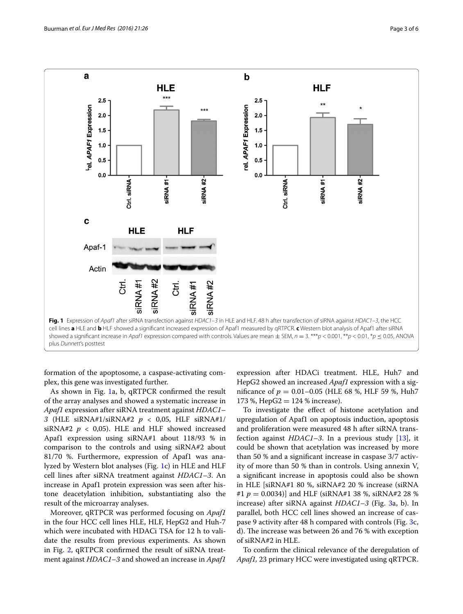

<span id="page-2-0"></span>formation of the apoptosome, a caspase-activating complex, this gene was investigated further.

As shown in Fig. [1](#page-2-0)a, b, qRTPCR confirmed the result of the array analyses and showed a systematic increase in *Apaf1* expression after siRNA treatment against *HDAC1*– *3* (HLE siRNA#1/siRNA#2 *p* < 0,05, HLF siRNA#1/ siRNA#2  $p$  < 0,05). HLE and HLF showed increased Apaf1 expression using siRNA#1 about 118/93 % in comparison to the controls and using siRNA#2 about 81/70 %. Furthermore, expression of Apaf1 was analyzed by Western blot analyses (Fig. [1c](#page-2-0)) in HLE and HLF cell lines after siRNA treatment against *HDAC1*–*3*. An increase in Apaf1 protein expression was seen after histone deacetylation inhibition, substantiating also the result of the microarray analyses.

Moreover, qRTPCR was performed focusing on *Apaf1* in the four HCC cell lines HLE, HLF, HepG2 and Huh-7 which were incubated with HDACi TSA for 12 h to validate the results from previous experiments. As shown in Fig. [2,](#page-3-1) qRTPCR confirmed the result of siRNA treatment against *HDAC1*–*3* and showed an increase in *Apaf1*

expression after HDACi treatment. HLE, Huh7 and HepG2 showed an increased *Apaf1* expression with a significance of *p* = 0.01–0.05 (HLE 68 %, HLF 59 %, Huh7 173 %, HepG2 =  $124$  % increase).

To investigate the effect of histone acetylation and upregulation of Apaf1 on apoptosis induction, apoptosis and proliferation were measured 48 h after siRNA transfection against *HDAC1*–*3*. In a previous study [[13\]](#page-4-9), it could be shown that acetylation was increased by more than 50 % and a significant increase in caspase 3/7 activity of more than 50 % than in controls. Using annexin V, a significant increase in apoptosis could also be shown in HLE [siRNA#1 80 %, siRNA#2 20 % increase (siRNA #1 *p* = 0.0034)] and HLF (siRNA#1 38 %, siRNA#2 28 % increase) after siRNA against *HDAC1*–*3* (Fig. [3a](#page-3-0), b). In parallel, both HCC cell lines showed an increase of caspase 9 activity after 48 h compared with controls (Fig. [3c](#page-3-0), d). The increase was between 26 and 76 % with exception of siRNA#2 in HLE.

To confirm the clinical relevance of the deregulation of *Apaf1,* 23 primary HCC were investigated using qRTPCR.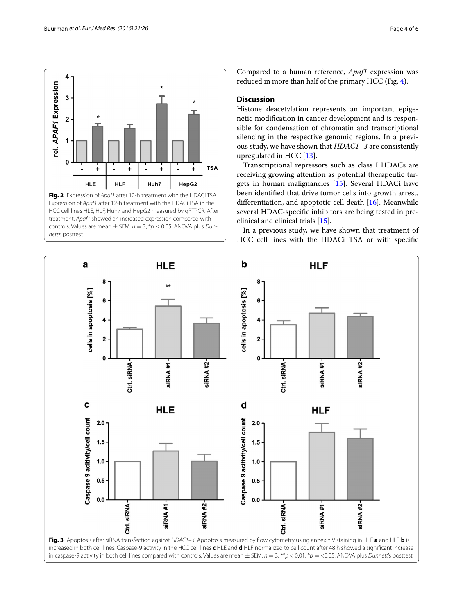

<span id="page-3-1"></span>**Fig. 2** Expression of *Apaf1* after 12-h treatment with the HDACi TSA. Expression of *Apaf1* after 12-h treatment with the HDACi TSA in the HCC cell lines HLE, HLF, Huh7 and HepG2 measured by qRTPCR. After treatment, *Apaf1* showed an increased expression compared with controls. Values are mean  $\pm$  SEM,  $n = 3$ ,  $p \le 0.05$ , ANOVA plus *Dunnett*'s posttest

Compared to a human reference, *Apaf1* expression was reduced in more than half of the primary HCC (Fig. [4\)](#page-4-11).

## **Discussion**

Histone deacetylation represents an important epigenetic modification in cancer development and is responsible for condensation of chromatin and transcriptional silencing in the respective genomic regions. In a previous study, we have shown that *HDAC1*–*3* are consistently upregulated in HCC [\[13\]](#page-4-9).

Transcriptional repressors such as class I HDACs are receiving growing attention as potential therapeutic targets in human malignancies [[15](#page-5-0)]. Several HDACi have been identified that drive tumor cells into growth arrest, differentiation, and apoptotic cell death [[16\]](#page-5-1). Meanwhile several HDAC-specific inhibitors are being tested in preclinical and clinical trials [\[15](#page-5-0)].

In a previous study, we have shown that treatment of HCC cell lines with the HDACi TSA or with specific

<span id="page-3-0"></span>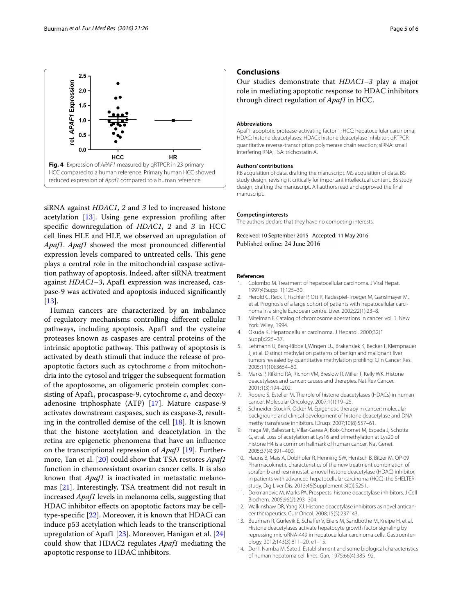

<span id="page-4-11"></span>siRNA against *HDAC1*, *2* and *3* led to increased histone acetylation [[13](#page-4-9)]. Using gene expression profiling after specific downregulation of *HDAC1*, *2* and *3* in HCC cell lines HLE and HLF, we observed an upregulation of *Apaf1*. *Apaf1* showed the most pronounced differential expression levels compared to untreated cells. This gene plays a central role in the mitochondrial caspase activation pathway of apoptosis. Indeed, after siRNA treatment against *HDAC1*–*3*, Apaf1 expression was increased, caspase-9 was activated and apoptosis induced significantly [[13\]](#page-4-9).

Human cancers are characterized by an imbalance of regulatory mechanisms controlling different cellular pathways, including apoptosis. Apaf1 and the cysteine proteases known as caspases are central proteins of the intrinsic apoptotic pathway. This pathway of apoptosis is activated by death stimuli that induce the release of proapoptotic factors such as cytochrome *c* from mitochondria into the cytosol and trigger the subsequent formation of the apoptosome, an oligomeric protein complex consisting of Apaf1, procaspase-9, cytochrome *c*, and deoxyadenosine triphosphate (ATP) [\[17](#page-5-2)]. Mature caspase-9 activates downstream caspases, such as caspase-3, resulting in the controlled demise of the cell [[18\]](#page-5-3). It is known that the histone acetylation and deacetylation in the retina are epigenetic phenomena that have an influence on the transcriptional repression of *Apaf1* [[19\]](#page-5-4). Furthermore, Tan et al. [[20](#page-5-5)] could show that TSA restores *Apaf1* function in chemoresistant ovarian cancer cells. It is also known that *Apaf1* is inactivated in metastatic melanomas [\[21\]](#page-5-6). Interestingly, TSA treatment did not result in increased *Apaf1* levels in melanoma cells, suggesting that HDAC inhibitor effects on apoptotic factors may be celltype-specific [\[22](#page-5-7)]. Moreover, it is known that HDACi can induce p53 acetylation which leads to the transcriptional upregulation of Apaf1 [\[23](#page-5-8)]. Moreover, Hanigan et al. [[24](#page-5-9)] could show that HDAC2 regulates *Apaf1* mediating the apoptotic response to HDAC inhibitors.

## **Conclusions**

Our studies demonstrate that *HDAC1*–*3* play a major role in mediating apoptotic response to HDAC inhibitors through direct regulation of *Apaf1* in HCC.

#### **Abbreviations**

Apaf1: apoptotic protease-activating factor 1; HCC: hepatocellular carcinoma; HDAC: histone deacetylases; HDACi: histone deacetylase inhibitor; qRTPCR: quantitative reverse-transcription polymerase chain reaction; siRNA: small interfering RNA; TSA: trichostatin A.

#### **Authors' contributions**

RB acquisition of data, drafting the manuscript. MS acquisition of data. BS study design, revising it critically for important intellectual content. BS study design, drafting the manuscript. All authors read and approved the final manuscript.

#### **Competing interests**

The authors declare that they have no competing interests.

Received: 10 September 2015 Accepted: 11 May 2016 Published online: 24 June 2016

#### **References**

- <span id="page-4-0"></span>1. Colombo M. Treatment of hepatocellular carcinoma. J Viral Hepat. 1997;4(Suppl 1):125–30.
- <span id="page-4-1"></span>2. Herold C, Reck T, Fischler P, Ott R, Radespiel-Troeger M, Ganslmayer M, et al. Prognosis of a large cohort of patients with hepatocellular carcinoma in a single European centre. Liver. 2002;22(1):23–8.
- <span id="page-4-2"></span>3. Mitelman F. Catalog of chromosome aberrations in cancer. vol. 1. New York: Wiley; 1994.
- <span id="page-4-3"></span>4. Okuda K. Hepatocellular carcinoma. J Hepatol. 2000;32(1 Suppl):225–37.
- <span id="page-4-4"></span>5. Lehmann U, Berg-Ribbe I, Wingen LU, Brakensiek K, Becker T, Klempnauer J, et al. Distinct methylation patterns of benign and malignant liver tumors revealed by quantitative methylation profiling. Clin Cancer Res. 2005;11(10):3654–60.
- 6. Marks P, Rifkind RA, Richon VM, Breslow R, Miller T, Kelly WK. Histone deacetylases and cancer: causes and therapies. Nat Rev Cancer. 2001;1(3):194–202.
- 7. Ropero S, Esteller M. The role of histone deacetylases (HDACs) in human cancer. Molecular Oncology. 2007;1(1):19–25.
- 8. Schneider-Stock R, Ocker M. Epigenetic therapy in cancer: molecular background and clinical development of histone deacetylase and DNA methyltransferase inhibitors. IDrugs. 2007;10(8):557–61.
- <span id="page-4-5"></span>9. Fraga MF, Ballestar E, Villar-Garea A, Boix-Chornet M, Espada J, Schotta G, et al. Loss of acetylation at Lys16 and trimethylation at Lys20 of histone H4 is a common hallmark of human cancer. Nat Genet. 2005;37(4):391–400.
- <span id="page-4-6"></span>10. Hauns B, Mais A, Doblhofer R, Henning SW, Hentsch B, Bitzer M. OP-09 Pharmacokinetic characteristics of the new treatment combination of sorafenib and resminostat, a novel histone deacetylase (HDAC) inhibitor, in patients with advanced hepatocellular carcinoma (HCC): the SHELTER study. Dig Liver Dis. 2013;45(Supplement 3(0)):S251.
- <span id="page-4-7"></span>11. Dokmanovic M, Marks PA. Prospects: histone deacetylase inhibitors. J Cell Biochem. 2005;96(2):293–304.
- <span id="page-4-8"></span>12. Walkinshaw DR, Yang XJ. Histone deacetylase inhibitors as novel anticancer therapeutics. Curr Oncol. 2008;15(5):237–43.
- <span id="page-4-9"></span>13. Buurman R, Gurlevik E, Schaffer V, Eilers M, Sandbothe M, Kreipe H, et al. Histone deacetylases activate hepatocyte growth factor signaling by repressing microRNA-449 in hepatocellular carcinoma cells. Gastroenterology. 2012;143(3):811–20, e1–15.
- <span id="page-4-10"></span>14. Dor I, Namba M, Sato J. Establishment and some biological characteristics of human hepatoma cell lines. Gan. 1975;66(4):385–92.